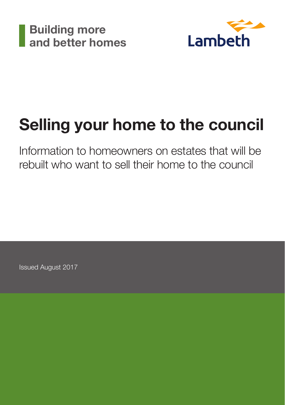



## Selling your home to the council

Information to homeowners on estates that will be rebuilt who want to sell their home to the council

Issued August 2017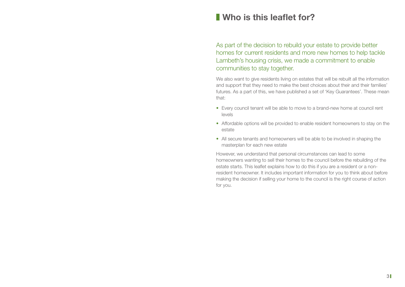## **Who is this leaflet for?**

As part of the decision to rebuild your estate to provide better homes for current residents and more new homes to help tackle Lambeth's housing crisis, we made a commitment to enable communities to stay together.

We also want to give residents living on estates that will be rebuilt all the information and support that they need to make the best choices about their and their families' futures. As a part of this, we have published a set of 'Key Guarantees'. These mean that:

- Every council tenant will be able to move to a brand-new home at council rent levels
- Affordable options will be provided to enable resident homeowners to stay on the estate
- All secure tenants and homeowners will be able to be involved in shaping the masterplan for each new estate

However, we understand that personal circumstances can lead to some homeowners wanting to sell their homes to the council before the rebuilding of the estate starts. This leaflet explains how to do this if you are a resident or a nonresident homeowner. It includes important information for you to think about before making the decision if selling your home to the council is the right course of action for you.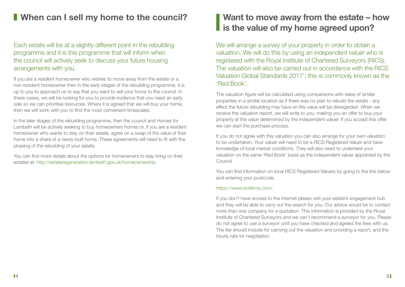## **I** When can I sell my home to the council? **Want to move away from the estate – how**

#### Each estate will be at a slightly different point in the rebuilding programme and it is this programme that will inform when the council will actively seek to discuss your future housing arrangements with you.

If you are a resident homeowner who wishes to move away from the estate or a non-resident homeowner then in the early stages of the rebuilding programme, it is up to you to approach us to say that you want to sell your home to the council. In these cases, we will be looking for you to provide evidence that you need an early sale so we can prioritise resources. Where it is agreed that we will buy your home, then we will work with you to find the most convenient timescales.

In the later stages of the rebuilding programme, then the council and Homes for Lambeth will be actively seeking to buy homeowners homes or, if you are a resident homeowner who wants to stay on their estate, agree on a swap of the value of their home into a share of a newly-built home. These agreements will need to fit with the phasing of the rebuilding of your estate.

You can find more details about the options for homeowners to stay living on their estates at: http://estateregeneration.lambeth.gov.uk/homeownership

# **is the value of my home agreed upon?**

We will arrange a survey of your property in order to obtain a valuation. We will do this by using an independent valuer who is registered with the Royal Institute of Chartered Surveyors (RICS). The valuation will also be carried out in accordance with the RICS Valuation Global Standards 2017'; this is commonly known as the 'Red Book'.

The valuation figure will be calculated using comparisons with sales of similar properties in a similar location as if there was no plan to rebuild the estate - any effect the future rebuilding may have on the value will be disregarded. When we receive the valuation report, we will write to you, making you an offer to buy your property at the value determined by the independent valuer. If you accept this offer we can start the purchase process.

If you do not agree with this valuation you can also arrange for your own valuation to be undertaken. Your valuer will need to be a RICS Registered Valuer and have knowledge of local market conditions. They will also need to undertake your valuation on the same 'Red Book' basis as the independent valuer appointed by the Council.

You can find information on local RICS Registered Valuers by going to the link below and entering your postcode.

#### https://www.ricsfirms.com/

If you don't have access to the internet please visit your estate's engagement hub and they will be able to carry out the search for you. Our advice would be to contact more than one company for a quotation. This information is provided by the Royal Institute of Chartered Surveyors and we can't recommend a surveyor for you. Please do not agree to use a surveyor until you have checked and agreed the fees with us. The fee should include for carrying out the valuation and providing a report, and the hourly rate for negotiation.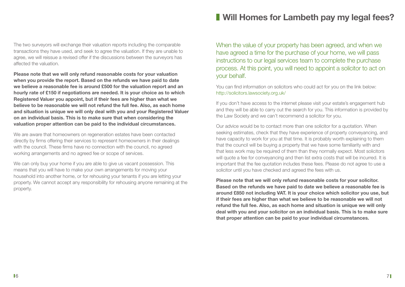The two surveyors will exchange their valuation reports including the comparable transactions they have used, and seek to agree the valuation. If they are unable to agree, we will reissue a revised offer if the discussions between the surveyors has affected the valuation.

**Please note that we will only refund reasonable costs for your valuation when you provide the report. Based on the refunds we have paid to date we believe a reasonable fee is around £500 for the valuation report and an hourly rate of £150 if negotiations are needed. It is your choice as to which Registered Valuer you appoint, but if their fees are higher than what we believe to be reasonable we will not refund the full fee. Also, as each home and situation is unique we will only deal with you and your Registered Valuer on an individual basis. This is to make sure that when considering the valuation proper attention can be paid to the individual circumstances.** 

We are aware that homeowners on regeneration estates have been contacted directly by firms offering their services to represent homeowners in their dealings with the council. These firms have no connection with the council, no agreed working arrangements and no agreed fee or scope of services.

We can only buy your home if you are able to give us vacant possession. This means that you will have to make your own arrangements for moving your household into another home, or for rehousing your tenants if you are letting your property. We cannot accept any responsibility for rehousing anyone remaining at the property.

## **Will Homes for Lambeth pay my legal fees?**

When the value of your property has been agreed, and when we have agreed a time for the purchase of your home, we will pass instructions to our legal services team to complete the purchase process. At this point, you will need to appoint a solicitor to act on your behalf.

You can find information on solicitors who could act for you on the link below: http://solicitors.lawsociety.org.uk/

If you don't have access to the internet please visit your estate's engagement hub and they will be able to carry out the search for you. This information is provided by the Law Society and we can't recommend a solicitor for you.

Our advice would be to contact more than one solicitor for a quotation. When seeking estimates, check that they have experience of property conveyancing, and have capacity to work for you at that time. It is probably worth explaining to them that the council will be buying a property that we have some familiarity with and that less work may be required of them than they normally expect. Most solicitors will quote a fee for conveyancing and then list extra costs that will be incurred. It is important that the fee quotation includes these fees. Please do not agree to use a solicitor until you have checked and agreed the fees with us.

**Please note that we will only refund reasonable costs for your solicitor. Based on the refunds we have paid to date we believe a reasonable fee is around £850 not including VAT. It is your choice which solicitor you use, but if their fees are higher than what we believe to be reasonable we will not refund the full fee. Also, as each home and situation is unique we will only deal with you and your solicitor on an individual basis. This is to make sure that proper attention can be paid to your individual circumstances.**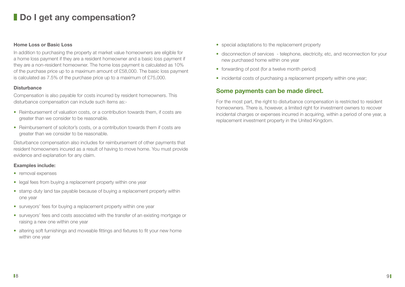## **Do I get any compensation?**

#### **Home Loss or Basic Loss**

In addition to purchasing the property at market value homeowners are eligible for a home loss payment if they are a resident homeowner and a basic loss payment if they are a non-resident homeowner. The home loss payment is calculated as 10% of the purchase price up to a maximum amount of £58,000. The basic loss payment is calculated as 7.5% of the purchase price up to a maximum of £75,000.

#### **Disturbance**

Compensation is also payable for costs incurred by resident homeowners. This disturbance compensation can include such items as:-

- Reimbursement of valuation costs, or a contribution towards them, if costs are greater than we consider to be reasonable.
- Reimbursement of solicitor's costs, or a contribution towards them if costs are greater than we consider to be reasonable.

Disturbance compensation also includes for reimbursement of other payments that resident homeowners incured as a result of having to move home. You must provide evidence and explanation for any claim.

#### **Examples include:**

- removal expenses
- legal fees from buying a replacement property within one year
- stamp duty land tax payable because of buying a replacement property within one year
- surveyors' fees for buying a replacement property within one year
- surveyors' fees and costs associated with the transfer of an existing mortgage or raising a new one within one year
- altering soft furnishings and moveable fittings and fixtures to fit your new home within one year
- special adaptations to the replacement property
- disconnection of services telephone, electricity, etc, and reconnection for your new purchased home within one year
- forwarding of post (for a twelve month period)
- incidental costs of purchasing a replacement property within one year;

#### **Some payments can be made direct.**

For the most part, the right to disturbance compensation is restricted to resident homeowners. There is, however, a limited right for investment owners to recover incidental charges or expenses incurred in acquiring, within a period of one year, a replacement investment property in the United Kingdom.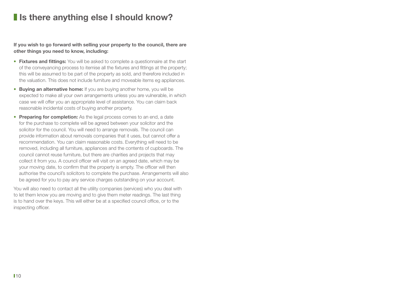## **I** Is there anything else I should know?

**If you wish to go forward with selling your property to the council, there are other things you need to know, including:**

- **Fixtures and fittings:** You will be asked to complete a questionnaire at the start of the conveyancing process to itemise all the fixtures and fittings at the property; this will be assumed to be part of the property as sold, and therefore included in the valuation. This does not include furniture and moveable items eg appliances.
- **Buying an alternative home:** If you are buying another home, you will be expected to make all your own arrangements unless you are vulnerable, in which case we will offer you an appropriate level of assistance. You can claim back reasonable incidental costs of buying another property.
- **Preparing for completion:** As the legal process comes to an end, a date for the purchase to complete will be agreed between your solicitor and the solicitor for the council. You will need to arrange removals. The council can provide information about removals companies that it uses, but cannot offer a recommendation. You can claim reasonable costs. Everything will need to be removed, including all furniture, appliances and the contents of cupboards. The council cannot reuse furniture, but there are charities and projects that may collect it from you. A council officer will visit on an agreed date, which may be your moving date, to confirm that the property is empty. The officer will then authorise the council's solicitors to complete the purchase. Arrangements will also be agreed for you to pay any service charges outstanding on your account.

You will also need to contact all the utility companies (services) who you deal with to let them know you are moving and to give them meter readings. The last thing is to hand over the keys. This will either be at a specified council office, or to the inspecting officer.